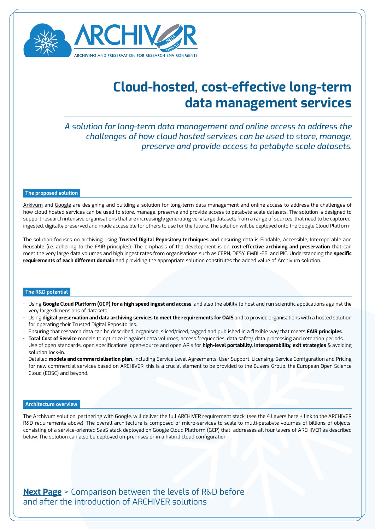

# **Cloud-hosted, cost-effective long-term data management services**

*A solution for long-term data management and online access to address the challenges of how cloud hosted services can be used to store, manage, preserve and provide access to petabyte scale datasets.*

### **The proposed solution**

[Arkivum](https://arkivum.com/) and [Google](http://cloud.google.com/) are designing and building a solution for long-term data management and online access to address the challenges of how cloud hosted services can be used to store, manage, preserve and provide access to petabyte scale datasets. The solution is designed to support research intensive organisations that are increasingly generating very large datasets from a range of sources, that need to be captured, ingested, digitally preserved and made accessible for others to use for the future. The solution will be deployed onto the [Google Cloud Platform.](https://cloud.google.com/)

The solution focuses on archiving using **Trusted Digital Repository techniques** and ensuring data is Findable, Accessible, Interoperable and Reusable (i.e. adhering to the FAIR principles). The emphasis of the development is on **cost-effective archiving and preservation** that can meet the very large data volumes and high ingest rates from organisations such as CERN, DESY, EMBL-EBI and PIC. Understanding the **specific requirements of each different domain** and providing the appropriate solution constitutes the added value of Archivum solution.

## **The R&D potential**

- Using **Google Cloud Platform (GCP) for a high speed ingest and access**, and also the ability to host and run scientific applications against the very large dimensions of datasets.
- Using **digital preservation and data archiving services to meet the requirements for OAIS** and to provide organisations with a hosted solution for operating their Trusted Digital Repositories.
- Ensuring that research data can be described, organised, sliced/diced, tagged and published in a flexible way that meets **FAIR principles**.
- **• Total Cost of Service** models to optimize it against data volumes, access frequencies, data safety, data processing and retention periods.
- Use of open standards, open specifications, open-source and open APIs for **high-level portability, interoperability, exit strategies** & avoiding solution lock-in.
- Detailed **models and commercialisation plan**, including Service Level Agreements, User Support, Licensing, Service Configuration and Pricing for new commercial services based on ARCHIVER: this is a crucial element to be provided to the Buyers Group, the European Open Science Cloud (EOSC) and beyond.

#### **Architecture overview**

The Archivum solution, partnering with Google, will deliver the full ARCHIVER requirement stack. (see the 4 Layers here + link to the ARCHIVER R&D requirements above). The overall architecture is composed of micro-services to scale to multi-petabyte volumes of billions of objects, consisting of a service-oriented SaaS stack deployed on Google Cloud Platform (GCP) that addresses all four layers of ARCHIVER as described below. The solution can also be deployed on-premises or in a hybrid cloud configuration.

**[Next Page](#page-1-0)** > Comparison between the levels of R&D before and after the introduction of ARCHIVER solutions